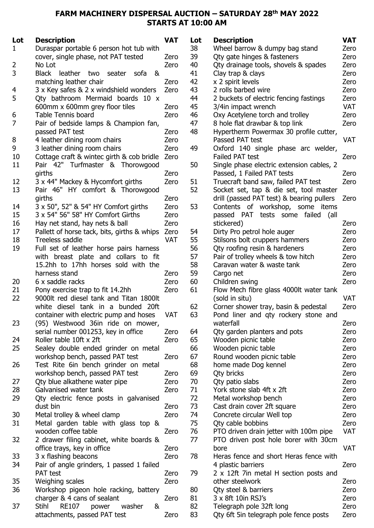## FARM MACHINERY DISPERSAL AUCTION - SATURDAY 28<sup>th</sup> MAY 2022 STARTS AT 10:00 AM

| Lot            | <b>Description</b>                                             | <b>VAT</b>         | Lot      | <b>Description</b>                        | <b>VAT</b> |
|----------------|----------------------------------------------------------------|--------------------|----------|-------------------------------------------|------------|
| 1              | Duraspar portable 6 person hot tub with                        |                    | 38       | Wheel barrow & dumpy bag stand            | Zero       |
|                | cover, single phase, not PAT tested                            | Zero               | 39       | Qty gate hinges & fasteners               | Zero       |
| $\overline{2}$ | No Lot                                                         | Zero               | 40       | Qty drainage tools, shovels & spades      | Zero       |
| 3              | Black leather two<br>seater<br>sofa<br>&                       |                    | 41       | Clay trap & clays                         | Zero       |
|                | matching leather chair                                         | Zero               | 42       | x 2 spirit levels                         | Zero       |
| 4              | 3 x Key safes & 2 x windshield wonders                         | Zero               | 43       | 2 rolls barbed wire                       | Zero       |
| 5              | Qty bathroom Mermaid boards 10 x                               |                    | 44       | 2 buckets of electric fencing fastings    | Zero       |
|                | 600mm x 600mm grey floor tiles                                 | Zero               | 45       | 3/4in impact wrench                       | <b>VAT</b> |
| 6              | <b>Table Tennis board</b>                                      | Zero               | 46       | Oxy Acetylene torch and trolley           | Zero       |
| 7              | Pair of bedside lamps & Champion fan,                          |                    | 47       | 8 hole flat drawbar & top link            | Zero       |
|                | passed PAT test                                                | Zero               | 48       | Hypertherm Powermax 30 profile cutter,    |            |
| 8              | 4 leather dining room chairs                                   | Zero               |          | Passed PAT test                           | <b>VAT</b> |
| 9              | 3 leather dining room chairs                                   | Zero               | 49       | Oxford 140 single phase arc welder,       |            |
| 10             | Cottage craft & wintec girth & cob bridle                      | Zero               |          | Failed PAT test                           | Zero       |
| 11             | Pair 42" Turfmaster & Thorowgood                               |                    | 50       | Single phase electric extension cables, 2 |            |
|                | girths                                                         | Zero               |          | Passed, 1 Failed PAT tests                | Zero       |
| 12             | 3 x 44" Mackey & Hycomfort girths                              | Zero               | 51       | Truecraft band saw, failed PAT test       | Zero       |
| 13             | Pair 46" HY comfort & Thorowgood                               |                    | 52       | Socket set, tap & die set, tool master    |            |
|                | girths                                                         | Zero               |          | drill (passed PAT test) & bearing pullers | Zero       |
| 14             | 3 x 50", 52" & 54" HY Comfort girths                           | Zero               | 53       | Contents of workshop, some items          |            |
| 15             | 3 x 54" 56" 58" HY Comfort Girths                              | Zero               |          | passed PAT<br>tests some failed (all      |            |
|                |                                                                |                    |          |                                           | Zero       |
| 16<br>17       | Hay net stand, hay nets & ball                                 | Zero               |          | stickered)                                |            |
| 18             | Pallett of horse tack, bits, girths & whips<br>Treeless saddle | Zero<br><b>VAT</b> | 54<br>55 | Dirty Pro petrol hole auger               | Zero       |
| 19             |                                                                |                    |          | Stilsons bolt cruppers hammers            | Zero       |
|                | Full set of leather horse pairs harness                        |                    | 56       | Qty roofing resin & hardeners             | Zero       |
|                | with breast plate and collars to fit                           |                    | 57       | Pair of trolley wheels & tow hitch        | Zero       |
|                | 15.2hh to 17hh horses sold with the                            |                    | 58       | Caravan water & waste tank                | Zero       |
|                | harness stand                                                  | Zero               | 59       | Cargo net                                 | Zero       |
| 20             | 6 x saddle racks                                               | Zero               | 60       | Children swing                            | Zero       |
| 21             | Pony exercise trap to fit 14.2hh                               | Zero               | 61       | Flow Mech fibre glass 4000lt water tank   |            |
| 22             | 9000lt red diesel tank and Titan 1800lt                        |                    |          | (sold in situ)                            | <b>VAT</b> |
|                | white diesel tank in a bunded 20ft                             |                    | 62       | Corner shower tray, basin & pedestal      | Zero       |
|                | container with electric pump and hoses                         | VAT                | 63       | Pond liner and qty rockery stone and      |            |
| 23             | (95) Westwood 36in ride on mower,                              |                    |          | waterfall                                 | Zero       |
|                | serial number 001253, key in office                            | Zero               | 64       | Qty garden planters and pots              | Zero       |
| 24             | Roller table 10ft x 2ft                                        | Zero               | 65       | Wooden picnic table                       | Zero       |
| 25             | Sealey double ended grinder on metal                           |                    | 66       | Wooden picnic table                       | Zero       |
|                | workshop bench, passed PAT test                                | Zero               | 67       | Round wooden picnic table                 | Zero       |
| 26             | Test Rite 6in bench grinder on metal                           |                    | 68       | home made Dog kennel                      | Zero       |
|                | workshop bench, passed PAT test                                | Zero               | 69       | Qty bricks                                | Zero       |
| 27             | Qty blue alkathene water pipe                                  | Zero               | 70       | Qty patio slabs                           | Zero       |
| 28             | Galvanised water tank                                          | Zero               | 71       | York stone slab 4ft x 2ft                 | Zero       |
| 29             | Qty electric fence posts in galvanised                         |                    | 72       | Metal workshop bench                      | Zero       |
|                | dust bin                                                       | Zero               | 73       | Cast drain cover 2ft square               | Zero       |
| 30             | Metal trolley & wheel clamp                                    | Zero               | 74       | Concrete circular Well top                | Zero       |
| 31             | Metal garden table with glass top &                            |                    | 75       | Qty cable bobbins                         | Zero       |
|                | wooden coffee table                                            | Zero               | 76       | PTO driven drain jetter with 100m pipe    | <b>VAT</b> |
| 32             | 2 drawer filing cabinet, white boards &                        |                    | 77       | PTO driven post hole borer with 30cm      |            |
|                | office trays, key in office                                    | Zero               |          | bore                                      | <b>VAT</b> |
| 33             | 3 x flashing beacons                                           | Zero               | 78       | Heras fence and short Heras fence with    |            |
| 34             | Pair of angle grinders, 1 passed 1 failed                      |                    |          | 4 plastic barriers                        | Zero       |
|                | <b>PAT</b> test                                                | Zero               | 79       | 2 x 12ft 7in metal H section posts and    |            |
| 35             | Weighing scales                                                | Zero               |          | other steelwork                           | Zero       |
| 36             | Workshop pigeon hole racking, battery                          |                    | 80       | Qty steel & barriers                      | Zero       |
|                | charger & 4 cans of sealant                                    | Zero               | 81       | 3 x 8ft 10in RSJ's                        | Zero       |
| 37             | Stihl<br><b>RE107</b><br>power<br>washer<br>&                  |                    | 82       | Telegraph pole 32ft long                  | Zero       |
|                | attachments, passed PAT test                                   | Zero               | 83       | Qty 6ft 5in telegraph pole fence posts    | Zero       |